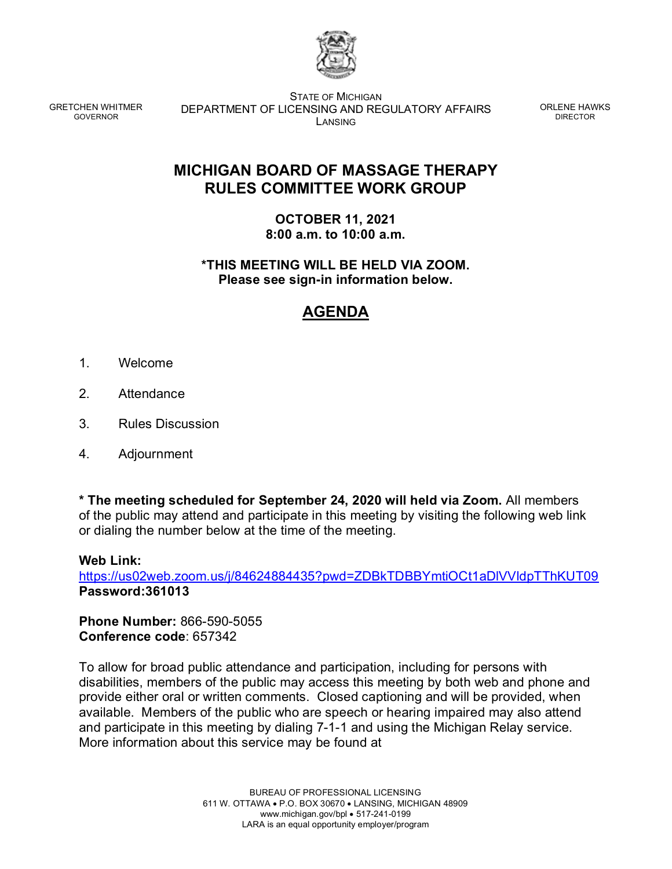

GRETCHEN WHITMER GOVERNOR

STATE OF MICHIGAN DEPARTMENT OF LICENSING AND REGULATORY AFFAIRS LANSING

ORLENE HAWKS DIRECTOR

## **MICHIGAN BOARD OF MASSAGE THERAPY RULES COMMITTEE WORK GROUP**

**OCTOBER 11, 2021 8:00 a.m. to 10:00 a.m.**

**\*THIS MEETING WILL BE HELD VIA ZOOM. Please see sign-in information below.**

## **AGENDA**

- 1. Welcome
- 2. Attendance
- 3. Rules Discussion
- 4. Adjournment

**\* The meeting scheduled for September 24, 2020 will held via Zoom.** All members of the public may attend and participate in this meeting by visiting the following web link or dialing the number below at the time of the meeting.

## **Web Link:**

<https://us02web.zoom.us/j/84624884435?pwd=ZDBkTDBBYmtiOCt1aDlVVldpTThKUT09> **Password:361013**

**Phone Number:** 866-590-5055 **Conference code**: 657342

To allow for broad public attendance and participation, including for persons with disabilities, members of the public may access this meeting by both web and phone and provide either oral or written comments. Closed captioning and will be provided, when available. Members of the public who are speech or hearing impaired may also attend and participate in this meeting by dialing 7-1-1 and using the Michigan Relay service. More information about this service may be found at

> BUREAU OF PROFESSIONAL LICENSING 611 W. OTTAWA • P.O. BOX 30670 • LANSING, MICHIGAN 48909 www.michigan.gov/bpl • 517-241-0199 LARA is an equal opportunity employer/program